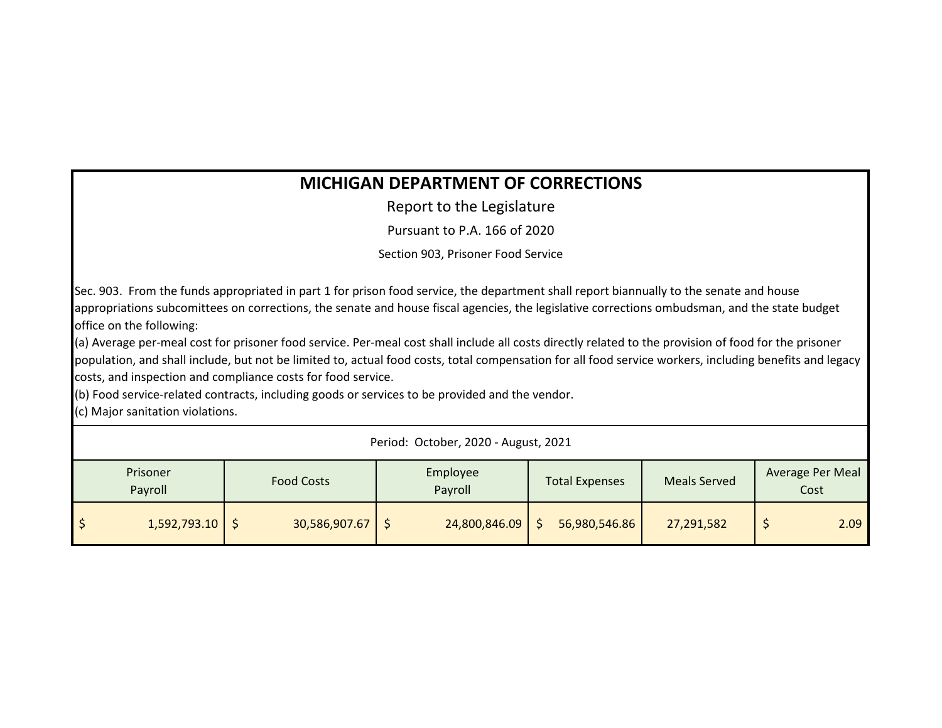## **MICHIGAN DEPARTMENT OF CORRECTIONS**

Report to the Legislature

Pursuant to P.A. 166 of 2020

Section 903, Prisoner Food Service

Sec. 903. From the funds appropriated in part 1 for prison food service, the department shall report biannually to the senate and house appropriations subcomittees on corrections, the senate and house fiscal agencies, the legislative corrections ombudsman, and the state budget office on the following:

(a) Average per-meal cost for prisoner food service. Per-meal cost shall include all costs directly related to the provision of food for the prisoner population, and shall include, but not be limited to, actual food costs, total compensation for all food service workers, including benefits and legacy costs, and inspection and compliance costs for food service.

(b) Food service-related contracts, including goods or services to be provided and the vendor.

(c) Major sanitation violations.

| Period: October, 2020 - August, 2021 |                     |                   |                     |                       |                     |                          |
|--------------------------------------|---------------------|-------------------|---------------------|-----------------------|---------------------|--------------------------|
|                                      | Prisoner<br>Payroll | <b>Food Costs</b> | Employee<br>Payroll | <b>Total Expenses</b> | <b>Meals Served</b> | Average Per Meal<br>Cost |
|                                      | 1,592,793.10        | 30,586,907.67     | 24,800,846.09       | 56,980,546.86         | 27,291,582          | 2.09                     |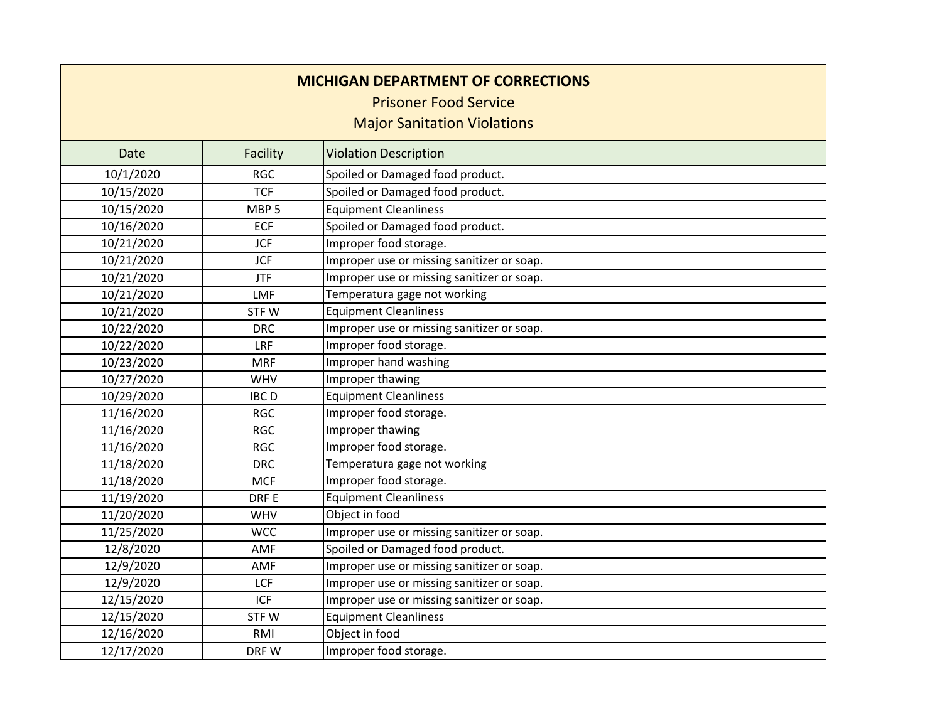| <b>MICHIGAN DEPARTMENT OF CORRECTIONS</b><br><b>Prisoner Food Service</b><br><b>Major Sanitation Violations</b> |                  |                                            |
|-----------------------------------------------------------------------------------------------------------------|------------------|--------------------------------------------|
| <b>Date</b>                                                                                                     | Facility         | <b>Violation Description</b>               |
| 10/1/2020                                                                                                       | <b>RGC</b>       | Spoiled or Damaged food product.           |
| 10/15/2020                                                                                                      | <b>TCF</b>       | Spoiled or Damaged food product.           |
| 10/15/2020                                                                                                      | MBP <sub>5</sub> | <b>Equipment Cleanliness</b>               |
| 10/16/2020                                                                                                      | <b>ECF</b>       | Spoiled or Damaged food product.           |
| 10/21/2020                                                                                                      | <b>JCF</b>       | Improper food storage.                     |
| 10/21/2020                                                                                                      | <b>JCF</b>       | Improper use or missing sanitizer or soap. |
| 10/21/2020                                                                                                      | <b>JTF</b>       | Improper use or missing sanitizer or soap. |
| 10/21/2020                                                                                                      | LMF              | Temperatura gage not working               |
| 10/21/2020                                                                                                      | STFW             | <b>Equipment Cleanliness</b>               |
| 10/22/2020                                                                                                      | <b>DRC</b>       | Improper use or missing sanitizer or soap. |
| 10/22/2020                                                                                                      | LRF              | Improper food storage.                     |
| 10/23/2020                                                                                                      | <b>MRF</b>       | Improper hand washing                      |
| 10/27/2020                                                                                                      | <b>WHV</b>       | Improper thawing                           |
| 10/29/2020                                                                                                      | <b>IBCD</b>      | <b>Equipment Cleanliness</b>               |
| 11/16/2020                                                                                                      | <b>RGC</b>       | Improper food storage.                     |
| 11/16/2020                                                                                                      | <b>RGC</b>       | Improper thawing                           |
| 11/16/2020                                                                                                      | <b>RGC</b>       | Improper food storage.                     |
| 11/18/2020                                                                                                      | <b>DRC</b>       | Temperatura gage not working               |
| 11/18/2020                                                                                                      | <b>MCF</b>       | Improper food storage.                     |
| 11/19/2020                                                                                                      | DRF E            | <b>Equipment Cleanliness</b>               |
| 11/20/2020                                                                                                      | <b>WHV</b>       | Object in food                             |
| 11/25/2020                                                                                                      | <b>WCC</b>       | Improper use or missing sanitizer or soap. |
| 12/8/2020                                                                                                       | <b>AMF</b>       | Spoiled or Damaged food product.           |
| 12/9/2020                                                                                                       | <b>AMF</b>       | Improper use or missing sanitizer or soap. |
| 12/9/2020                                                                                                       | <b>LCF</b>       | Improper use or missing sanitizer or soap. |
| 12/15/2020                                                                                                      | <b>ICF</b>       | Improper use or missing sanitizer or soap. |
| 12/15/2020                                                                                                      | STFW             | <b>Equipment Cleanliness</b>               |
| 12/16/2020                                                                                                      | RMI              | Object in food                             |
| 12/17/2020                                                                                                      | DRF W            | Improper food storage.                     |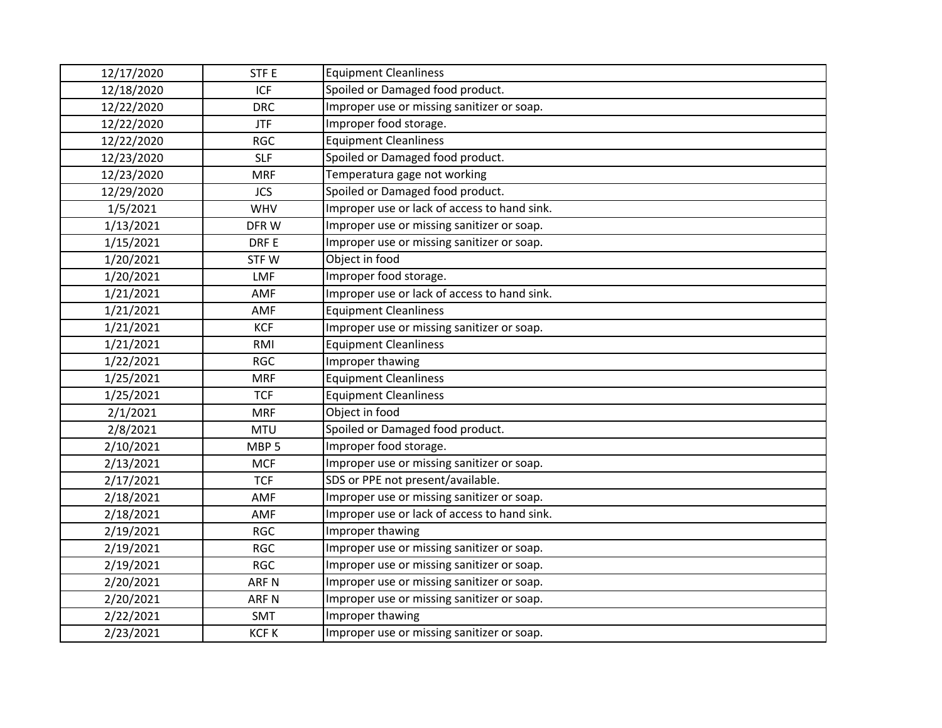| 12/17/2020 | STF <sub>E</sub> | <b>Equipment Cleanliness</b>                 |  |
|------------|------------------|----------------------------------------------|--|
| 12/18/2020 | ICF              | Spoiled or Damaged food product.             |  |
| 12/22/2020 | <b>DRC</b>       | Improper use or missing sanitizer or soap.   |  |
| 12/22/2020 | <b>JTF</b>       | Improper food storage.                       |  |
| 12/22/2020 | <b>RGC</b>       | <b>Equipment Cleanliness</b>                 |  |
| 12/23/2020 | <b>SLF</b>       | Spoiled or Damaged food product.             |  |
| 12/23/2020 | <b>MRF</b>       | Temperatura gage not working                 |  |
| 12/29/2020 | <b>JCS</b>       | Spoiled or Damaged food product.             |  |
| 1/5/2021   | <b>WHV</b>       | Improper use or lack of access to hand sink. |  |
| 1/13/2021  | DFRW             | Improper use or missing sanitizer or soap.   |  |
| 1/15/2021  | DRF E            | Improper use or missing sanitizer or soap.   |  |
| 1/20/2021  | STFW             | Object in food                               |  |
| 1/20/2021  | <b>LMF</b>       | Improper food storage.                       |  |
| 1/21/2021  | AMF              | Improper use or lack of access to hand sink. |  |
| 1/21/2021  | AMF              | <b>Equipment Cleanliness</b>                 |  |
| 1/21/2021  | <b>KCF</b>       | Improper use or missing sanitizer or soap.   |  |
| 1/21/2021  | <b>RMI</b>       | <b>Equipment Cleanliness</b>                 |  |
| 1/22/2021  | <b>RGC</b>       | Improper thawing                             |  |
| 1/25/2021  | <b>MRF</b>       | <b>Equipment Cleanliness</b>                 |  |
| 1/25/2021  | <b>TCF</b>       | <b>Equipment Cleanliness</b>                 |  |
| 2/1/2021   | <b>MRF</b>       | Object in food                               |  |
| 2/8/2021   | <b>MTU</b>       | Spoiled or Damaged food product.             |  |
| 2/10/2021  | MBP <sub>5</sub> | Improper food storage.                       |  |
| 2/13/2021  | <b>MCF</b>       | Improper use or missing sanitizer or soap.   |  |
| 2/17/2021  | <b>TCF</b>       | SDS or PPE not present/available.            |  |
| 2/18/2021  | AMF              | Improper use or missing sanitizer or soap.   |  |
| 2/18/2021  | AMF              | Improper use or lack of access to hand sink. |  |
| 2/19/2021  | <b>RGC</b>       | Improper thawing                             |  |
| 2/19/2021  | <b>RGC</b>       | Improper use or missing sanitizer or soap.   |  |
| 2/19/2021  | <b>RGC</b>       | Improper use or missing sanitizer or soap.   |  |
| 2/20/2021  | <b>ARFN</b>      | Improper use or missing sanitizer or soap.   |  |
| 2/20/2021  | ARF <sub>N</sub> | Improper use or missing sanitizer or soap.   |  |
| 2/22/2021  | SMT              | Improper thawing                             |  |
| 2/23/2021  | <b>KCFK</b>      | Improper use or missing sanitizer or soap.   |  |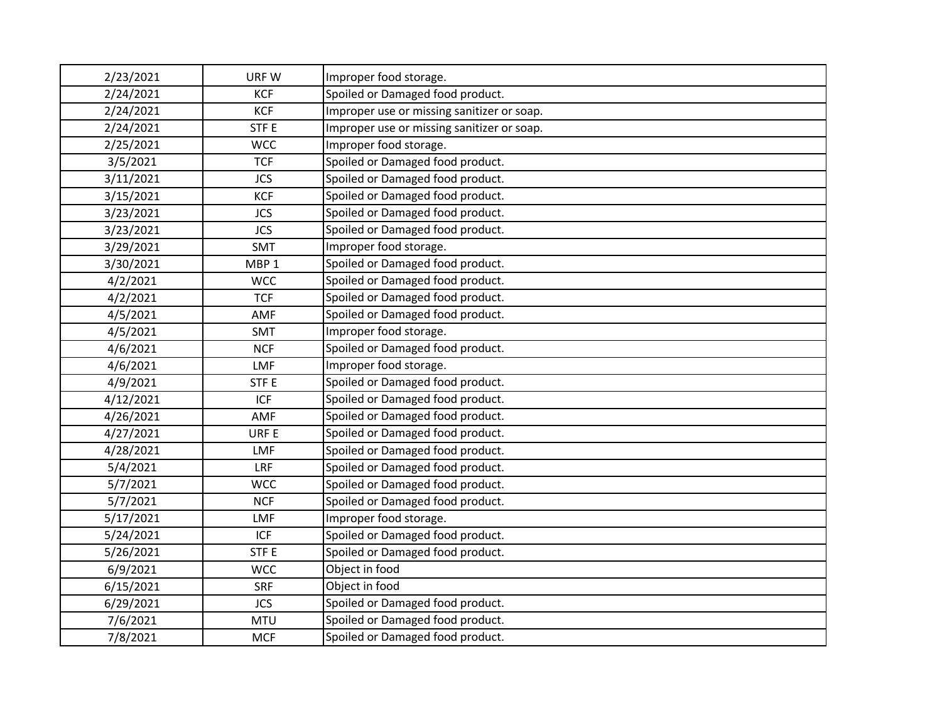| 2/23/2021 | URF W            | Improper food storage.                     |  |
|-----------|------------------|--------------------------------------------|--|
| 2/24/2021 | <b>KCF</b>       | Spoiled or Damaged food product.           |  |
| 2/24/2021 | <b>KCF</b>       | Improper use or missing sanitizer or soap. |  |
| 2/24/2021 | STF <sub>E</sub> | Improper use or missing sanitizer or soap. |  |
| 2/25/2021 | <b>WCC</b>       | Improper food storage.                     |  |
| 3/5/2021  | <b>TCF</b>       | Spoiled or Damaged food product.           |  |
| 3/11/2021 | <b>JCS</b>       | Spoiled or Damaged food product.           |  |
| 3/15/2021 | <b>KCF</b>       | Spoiled or Damaged food product.           |  |
| 3/23/2021 | <b>JCS</b>       | Spoiled or Damaged food product.           |  |
| 3/23/2021 | <b>JCS</b>       | Spoiled or Damaged food product.           |  |
| 3/29/2021 | <b>SMT</b>       | Improper food storage.                     |  |
| 3/30/2021 | MBP <sub>1</sub> | Spoiled or Damaged food product.           |  |
| 4/2/2021  | <b>WCC</b>       | Spoiled or Damaged food product.           |  |
| 4/2/2021  | <b>TCF</b>       | Spoiled or Damaged food product.           |  |
| 4/5/2021  | <b>AMF</b>       | Spoiled or Damaged food product.           |  |
| 4/5/2021  | <b>SMT</b>       | Improper food storage.                     |  |
| 4/6/2021  | <b>NCF</b>       | Spoiled or Damaged food product.           |  |
| 4/6/2021  | <b>LMF</b>       | Improper food storage.                     |  |
| 4/9/2021  | STF <sub>E</sub> | Spoiled or Damaged food product.           |  |
| 4/12/2021 | <b>ICF</b>       | Spoiled or Damaged food product.           |  |
| 4/26/2021 | AMF              | Spoiled or Damaged food product.           |  |
| 4/27/2021 | URF E            | Spoiled or Damaged food product.           |  |
| 4/28/2021 | <b>LMF</b>       | Spoiled or Damaged food product.           |  |
| 5/4/2021  | LRF              | Spoiled or Damaged food product.           |  |
| 5/7/2021  | <b>WCC</b>       | Spoiled or Damaged food product.           |  |
| 5/7/2021  | <b>NCF</b>       | Spoiled or Damaged food product.           |  |
| 5/17/2021 | LMF              | Improper food storage.                     |  |
| 5/24/2021 | <b>ICF</b>       | Spoiled or Damaged food product.           |  |
| 5/26/2021 | STF <sub>E</sub> | Spoiled or Damaged food product.           |  |
| 6/9/2021  | <b>WCC</b>       | Object in food                             |  |
| 6/15/2021 | <b>SRF</b>       | Object in food                             |  |
| 6/29/2021 | <b>JCS</b>       | Spoiled or Damaged food product.           |  |
| 7/6/2021  | <b>MTU</b>       | Spoiled or Damaged food product.           |  |
| 7/8/2021  | <b>MCF</b>       | Spoiled or Damaged food product.           |  |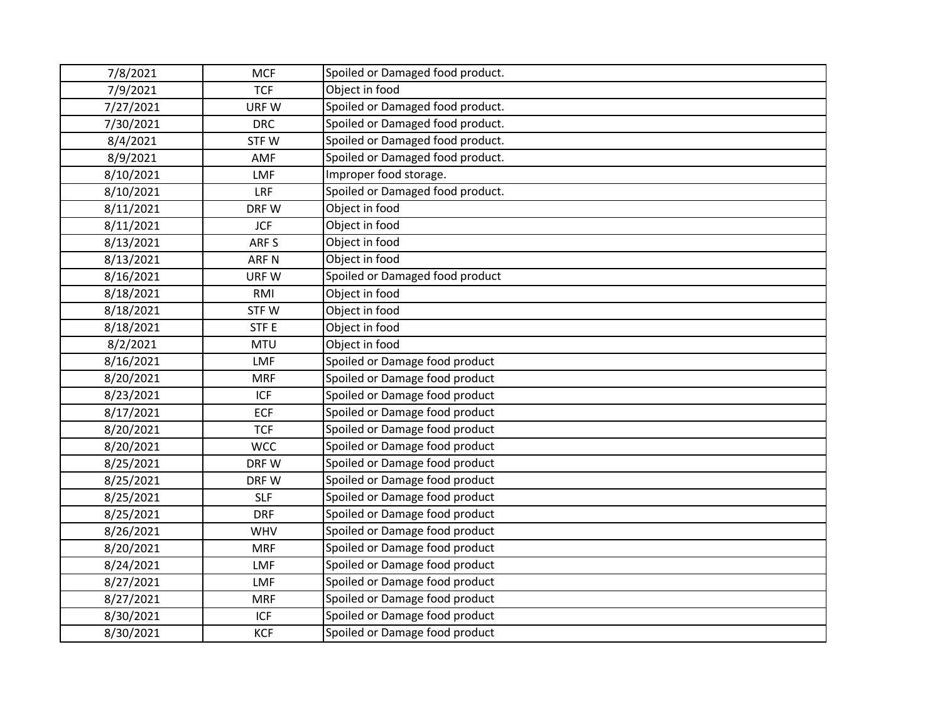| 7/8/2021  | <b>MCF</b>       | Spoiled or Damaged food product. |
|-----------|------------------|----------------------------------|
| 7/9/2021  | <b>TCF</b>       | Object in food                   |
| 7/27/2021 | URF W            | Spoiled or Damaged food product. |
| 7/30/2021 | <b>DRC</b>       | Spoiled or Damaged food product. |
| 8/4/2021  | STFW             | Spoiled or Damaged food product. |
| 8/9/2021  | AMF              | Spoiled or Damaged food product. |
| 8/10/2021 | <b>LMF</b>       | Improper food storage.           |
| 8/10/2021 | <b>LRF</b>       | Spoiled or Damaged food product. |
| 8/11/2021 | DRF W            | Object in food                   |
| 8/11/2021 | <b>JCF</b>       | Object in food                   |
| 8/13/2021 | ARF S            | Object in food                   |
| 8/13/2021 | ARF <sub>N</sub> | Object in food                   |
| 8/16/2021 | URF W            | Spoiled or Damaged food product  |
| 8/18/2021 | RMI              | Object in food                   |
| 8/18/2021 | STFW             | Object in food                   |
| 8/18/2021 | STF <sub>E</sub> | Object in food                   |
| 8/2/2021  | <b>MTU</b>       | Object in food                   |
| 8/16/2021 | <b>LMF</b>       | Spoiled or Damage food product   |
| 8/20/2021 | <b>MRF</b>       | Spoiled or Damage food product   |
| 8/23/2021 | <b>ICF</b>       | Spoiled or Damage food product   |
| 8/17/2021 | <b>ECF</b>       | Spoiled or Damage food product   |
| 8/20/2021 | <b>TCF</b>       | Spoiled or Damage food product   |
| 8/20/2021 | <b>WCC</b>       | Spoiled or Damage food product   |
| 8/25/2021 | DRFW             | Spoiled or Damage food product   |
| 8/25/2021 | DRF W            | Spoiled or Damage food product   |
| 8/25/2021 | <b>SLF</b>       | Spoiled or Damage food product   |
| 8/25/2021 | <b>DRF</b>       | Spoiled or Damage food product   |
| 8/26/2021 | WHV              | Spoiled or Damage food product   |
| 8/20/2021 | <b>MRF</b>       | Spoiled or Damage food product   |
| 8/24/2021 | <b>LMF</b>       | Spoiled or Damage food product   |
| 8/27/2021 | LMF              | Spoiled or Damage food product   |
| 8/27/2021 | <b>MRF</b>       | Spoiled or Damage food product   |
| 8/30/2021 | ICF              | Spoiled or Damage food product   |
| 8/30/2021 | <b>KCF</b>       | Spoiled or Damage food product   |